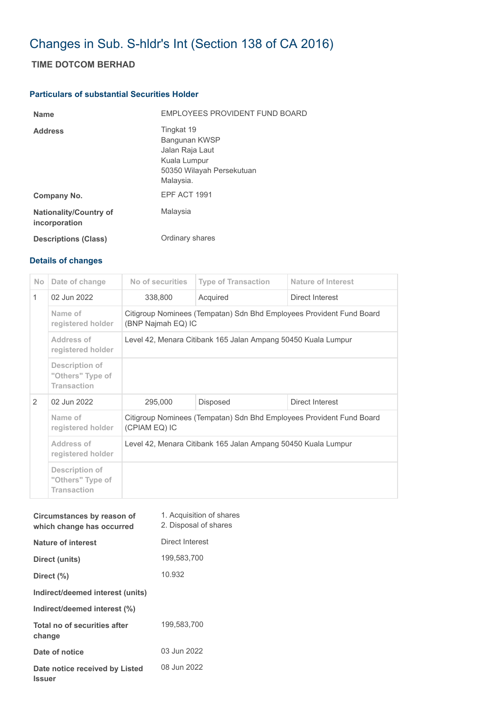## Changes in Sub. S-hldr's Int (Section 138 of CA 2016)

## **TIME DOTCOM BERHAD**

## **Particulars of substantial Securities Holder**

| <b>Name</b>                                    | EMPLOYEES PROVIDENT FUND BOARD                                                                           |
|------------------------------------------------|----------------------------------------------------------------------------------------------------------|
| <b>Address</b>                                 | Tingkat 19<br>Bangunan KWSP<br>Jalan Raja Laut<br>Kuala Lumpur<br>50350 Wilayah Persekutuan<br>Malaysia. |
| Company No.                                    | EPF ACT 1991                                                                                             |
| <b>Nationality/Country of</b><br>incorporation | Malaysia                                                                                                 |
| <b>Descriptions (Class)</b>                    | Ordinary shares                                                                                          |

## **Details of changes**

| No.           | Date of change                                           | No of securities                                                                           | <b>Type of Transaction</b> | Nature of Interest |  |  |
|---------------|----------------------------------------------------------|--------------------------------------------------------------------------------------------|----------------------------|--------------------|--|--|
| $\mathbf{1}$  | 02 Jun 2022                                              | 338,800                                                                                    | Acquired                   | Direct Interest    |  |  |
|               | Name of<br>registered holder                             | Citigroup Nominees (Tempatan) Sdn Bhd Employees Provident Fund Board<br>(BNP Najmah EQ) IC |                            |                    |  |  |
|               | Address of<br>registered holder                          | Level 42, Menara Citibank 165 Jalan Ampang 50450 Kuala Lumpur                              |                            |                    |  |  |
|               | Description of<br>"Others" Type of<br><b>Transaction</b> |                                                                                            |                            |                    |  |  |
| $\mathcal{P}$ | 02 Jun 2022                                              | 295,000                                                                                    | <b>Disposed</b>            | Direct Interest    |  |  |
|               | Name of<br>registered holder                             | Citigroup Nominees (Tempatan) Sdn Bhd Employees Provident Fund Board<br>(CPIAM EQ) IC      |                            |                    |  |  |
|               | <b>Address of</b><br>registered holder                   | Level 42, Menara Citibank 165 Jalan Ampang 50450 Kuala Lumpur                              |                            |                    |  |  |
|               | Description of<br>"Others" Type of<br><b>Transaction</b> |                                                                                            |                            |                    |  |  |

| Circumstances by reason of<br>which change has occurred | 1. Acquisition of shares<br>2. Disposal of shares |
|---------------------------------------------------------|---------------------------------------------------|
| <b>Nature of interest</b>                               | Direct Interest                                   |
| Direct (units)                                          | 199,583,700                                       |
| Direct $(\%)$                                           | 10.932                                            |
| Indirect/deemed interest (units)                        |                                                   |
| Indirect/deemed interest (%)                            |                                                   |
| Total no of securities after<br>change                  | 199,583,700                                       |
| Date of notice                                          | 03 Jun 2022                                       |
| Date notice received by Listed<br><b>Issuer</b>         | 08 Jun 2022                                       |